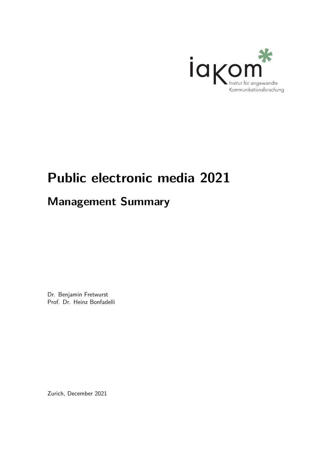

## Public electronic media 2021

## **Management Summary**

Dr. Benjamin Fretwurst Prof. Dr. Heinz Bonfadelli

Zurich, December 2021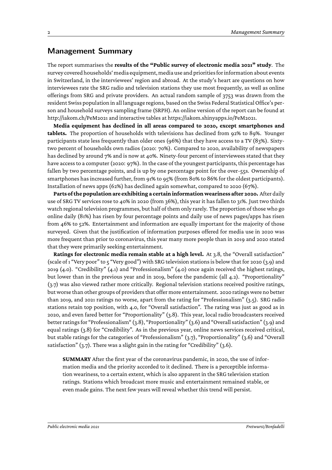## **Management Summary**

The report summarises the **results of the "Public survey of electronic media 2021" study**. The survey covered households' media equipment, media use and priorities for information about events in Switzerland, in the interviewees' region and abroad. At the study's heart are questions on how interviewees rate the SRG radio and television stations they use most frequently, as well as online offerings from SRG and private providers. An actual random sample of 3753 was drawn from the resident Swiss population in all language regions, based on the Swiss Federal Statistical Office's person and household surveyssampling frame (SRPH). An online version of the report can be found at http://iakom.ch/PeM2021 and interactive tables at https://iakom.shinyapps.io/PeM2021.

**Media equipment has declined in all areas compared to 2020, except smartphones and tablets.** The proportion of households with televisions has declined from 92% to 89%. Younger participants state less frequently than older ones (96%) that they have access to a TV (83%). Sixtytwo percent of [household](http://iakom.ch/PeM2021)s own radios (2020: 70%). Compared to 2020, [availability](https://iakom.shinyapps.io/PeM2021) of newspapers has declined by around 7% and is now at 40%. Ninety-four percent of interviewees stated that they have access to a computer (2020: 97%). In the case of the youngest participants, this percentage has fallen by two percentage points, and is up by one percentage point for the over-55s. Ownership of smartphones has increased further, from 91% to 95% (from 80% to 86% for the oldest participants). Installation of news apps(62%) has declined again somewhat, compared to 2020 (67%).

**Parts ofthe populationare exhibiting a certaininformationweariness after 2020.** After daily use of SRG TV services rose to 40% in 2020 (from 36%), this year it has fallen to 31%. Just two thirds watch regional television programmes, but half of them only rarely. The proportion of those who go online daily (81%) has risen by four percentage points and daily use of news pages/apps has risen from 46% to 52%. Entertainment and information are equally important for the majority of those surveyed. Given that the justification of information purposes offered for media use in 2020 was more frequent than prior to coronavirus, this year many more people than in 2019 and 2020 stated that they were primarily seeking entertainment.

**Ratings for electronic media remain stable at a high level.** At 3.8, the "Overall satisfaction" (scale of 1 "Very poor" to  $\zeta$  "Very good") with SRG television stations is below that for 2020 (3.9) and 2019 (4.0). "Credibility" (4.1) and "Professionalism" (4.0) once again received the highest ratings, but lower than in the previous year and in 2019, before the pandemic (all 4.2). "Proportionality" (3.7) was also viewed rather more critically. Regional television stations received positive ratings, but worse than other groups of providers that offer more entertainment. 2020 ratings were no better than 2019, and 2021 ratings no worse, apart from the rating for "Professionalism" (3.5). SRG radio stations retain top position, with 4.0, for "Overall satisfaction". The rating was just as good as in 2020, and even fared better for "Proportionality" (3.8). This year, local radio broadcasters received better ratings for "Professionalism" (3.8), "Proportionality" (3.6) and "Overall satisfaction" (3.9) and equal ratings (3.8) for "Credibility". As in the previous year, online news services received critical, but stable ratings for the categories of "Professionalism" (3.7), "Proportionality" (3.6) and "Overall satisfaction" (3.7). There was a slight gain in the rating for "Credibility" (3.6).

**SUMMARY** After the first year of the coronavirus pandemic, in 2020, the use of information media and the priority accorded to it declined. There is a perceptible information weariness, to a certain extent, which is also apparent in the SRG television station ratings. Stations which broadcast more music and entertainment remained stable, or even made gains. The next few years will reveal whether this trend will persist.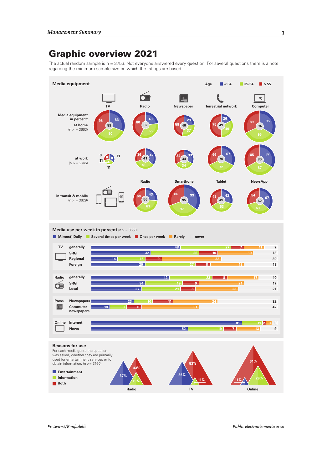## Graphic overview 2021

The actual random sample is  $n = 3753$ . Not everyone answered every question. For several questions there is a note regarding the minimum sample size on which the ratings are based.





**36%**



**Radio**

**43%**

**37%**

**TV Online 29% 11% 11%**